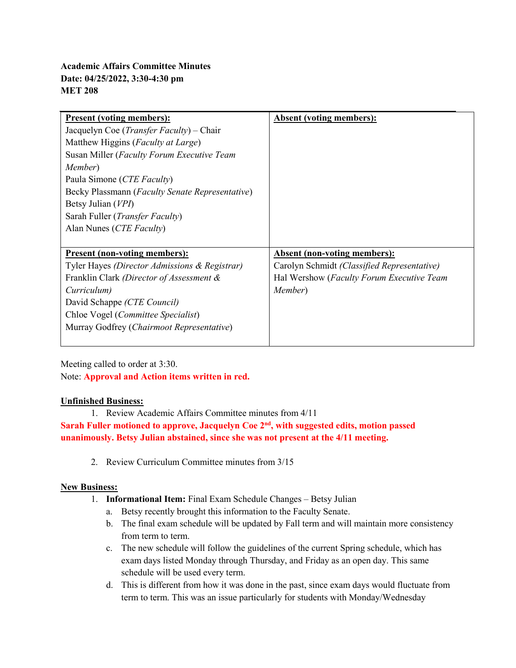| <b>Present (voting members):</b>                  | <b>Absent (voting members):</b>             |
|---------------------------------------------------|---------------------------------------------|
| Jacquelyn Coe ( <i>Transfer Faculty</i> ) – Chair |                                             |
| Matthew Higgins ( <i>Faculty at Large</i> )       |                                             |
| Susan Miller (Faculty Forum Executive Team        |                                             |
| <i>Member</i> )                                   |                                             |
| Paula Simone (CTE Faculty)                        |                                             |
| Becky Plassmann (Faculty Senate Representative)   |                                             |
| Betsy Julian (VPI)                                |                                             |
| Sarah Fuller ( <i>Transfer Faculty</i> )          |                                             |
| Alan Nunes (CTE Faculty)                          |                                             |
|                                                   |                                             |
| <u><b>Present (non-voting members):</b></u>       | <b>Absent (non-voting members):</b>         |
| Tyler Hayes (Director Admissions & Registrar)     | Carolyn Schmidt (Classified Representative) |
| Franklin Clark (Director of Assessment &          | Hal Wershow (Faculty Forum Executive Team   |
| Curriculum)                                       | Member)                                     |
| David Schappe (CTE Council)                       |                                             |
| Chloe Vogel (Committee Specialist)                |                                             |
| Murray Godfrey (Chairmoot Representative)         |                                             |
|                                                   |                                             |

Meeting called to order at 3:30. Note: **Approval and Action items written in red.**

## **Unfinished Business:**

1. Review Academic Affairs Committee minutes from 4/11

**Sarah Fuller motioned to approve, Jacquelyn Coe 2nd, with suggested edits, motion passed unanimously. Betsy Julian abstained, since she was not present at the 4/11 meeting.** 

2. Review Curriculum Committee minutes from 3/15

## **New Business:**

- 1. **Informational Item:** Final Exam Schedule Changes Betsy Julian
	- a. Betsy recently brought this information to the Faculty Senate.
	- b. The final exam schedule will be updated by Fall term and will maintain more consistency from term to term.
	- c. The new schedule will follow the guidelines of the current Spring schedule, which has exam days listed Monday through Thursday, and Friday as an open day. This same schedule will be used every term.
	- d. This is different from how it was done in the past, since exam days would fluctuate from term to term. This was an issue particularly for students with Monday/Wednesday